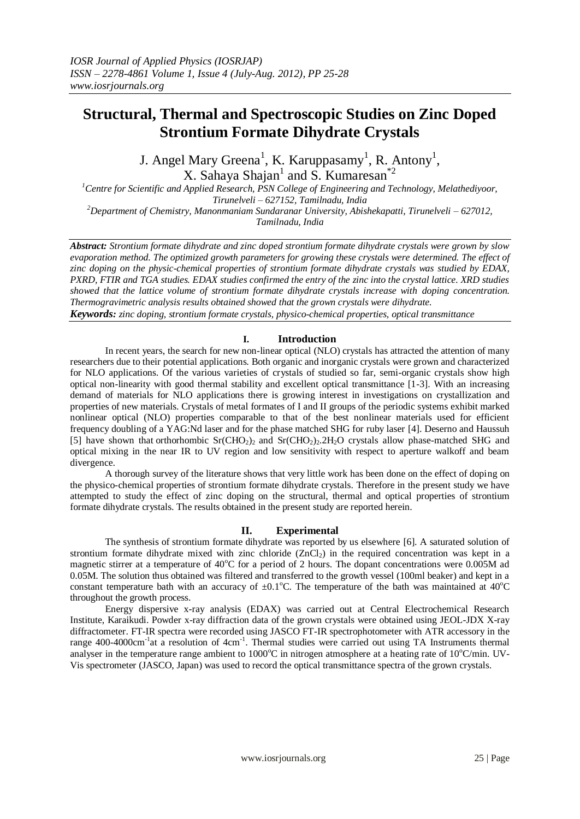# **Structural, Thermal and Spectroscopic Studies on Zinc Doped Strontium Formate Dihydrate Crystals**

J. Angel Mary Greena<sup>1</sup>, K. Karuppasamy<sup>1</sup>, R. Antony<sup>1</sup>, X. Sahaya Shajan<sup>1</sup> and S. Kumaresan<sup>\*2</sup>

*<sup>1</sup>Centre for Scientific and Applied Research, PSN College of Engineering and Technology, Melathediyoor, Tirunelveli – 627152, Tamilnadu, India <sup>2</sup>Department of Chemistry, Manonmaniam Sundaranar University, Abishekapatti, Tirunelveli – 627012, Tamilnadu, India*

*Abstract: Strontium formate dihydrate and zinc doped strontium formate dihydrate crystals were grown by slow evaporation method. The optimized growth parameters for growing these crystals were determined. The effect of zinc doping on the physic-chemical properties of strontium formate dihydrate crystals was studied by EDAX, PXRD, FTIR and TGA studies. EDAX studies confirmed the entry of the zinc into the crystal lattice. XRD studies showed that the lattice volume of strontium formate dihydrate crystals increase with doping concentration. Thermogravimetric analysis results obtained showed that the grown crystals were dihydrate.* 

*Keywords: zinc doping, strontium formate crystals, physico-chemical properties, optical transmittance*

## **I. Introduction**

In recent years, the search for new non-linear optical (NLO) crystals has attracted the attention of many researchers due to their potential applications. Both organic and inorganic crystals were grown and characterized for NLO applications. Of the various varieties of crystals of studied so far, semi-organic crystals show high optical non-linearity with good thermal stability and excellent optical transmittance [1-3]. With an increasing demand of materials for NLO applications there is growing interest in investigations on crystallization and properties of new materials. Crystals of metal formates of I and II groups of the periodic systems exhibit marked nonlinear optical (NLO) properties comparable to that of the best nonlinear materials used for efficient frequency doubling of a YAG:Nd laser and for the phase matched SHG for ruby laser [4]. Deserno and Haussuh [5] have shown that orthorhombic  $Sr(CHO<sub>2</sub>)<sub>2</sub>$  and  $Sr(CHO<sub>2</sub>)<sub>2</sub>$ .  $2H<sub>2</sub>O$  crystals allow phase-matched SHG and optical mixing in the near IR to UV region and low sensitivity with respect to aperture walkoff and beam divergence.

A thorough survey of the literature shows that very little work has been done on the effect of doping on the physico-chemical properties of strontium formate dihydrate crystals. Therefore in the present study we have attempted to study the effect of zinc doping on the structural, thermal and optical properties of strontium formate dihydrate crystals. The results obtained in the present study are reported herein.

## **II. Experimental**

The synthesis of strontium formate dihydrate was reported by us elsewhere [6]. A saturated solution of strontium formate dihydrate mixed with zinc chloride  $(ZnCl<sub>2</sub>)$  in the required concentration was kept in a magnetic stirrer at a temperature of  $40^{\circ}$ C for a period of 2 hours. The dopant concentrations were 0.005M ad 0.05M. The solution thus obtained was filtered and transferred to the growth vessel (100ml beaker) and kept in a constant temperature bath with an accuracy of  $\pm 0.1^{\circ}$ C. The temperature of the bath was maintained at 40<sup>o</sup>C throughout the growth process.

Energy dispersive x-ray analysis (EDAX) was carried out at Central Electrochemical Research Institute, Karaikudi. Powder x-ray diffraction data of the grown crystals were obtained using JEOL-JDX X-ray diffractometer. FT-IR spectra were recorded using JASCO FT-IR spectrophotometer with ATR accessory in the range 400-4000cm<sup>-1</sup>at a resolution of 4cm<sup>-1</sup>. Thermal studies were carried out using TA Instruments thermal analyser in the temperature range ambient to  $1000^{\circ}$ C in nitrogen atmosphere at a heating rate of  $10^{\circ}$ C/min. UV-Vis spectrometer (JASCO, Japan) was used to record the optical transmittance spectra of the grown crystals.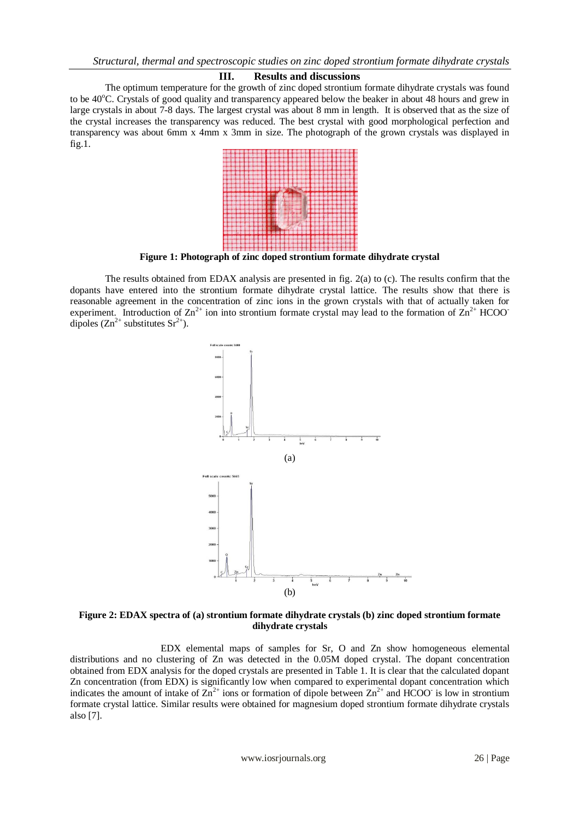#### **III. Results and discussions**

The optimum temperature for the growth of zinc doped strontium formate dihydrate crystals was found to be 40<sup>o</sup>C. Crystals of good quality and transparency appeared below the beaker in about 48 hours and grew in large crystals in about 7-8 days. The largest crystal was about 8 mm in length. It is observed that as the size of the crystal increases the transparency was reduced. The best crystal with good morphological perfection and transparency was about 6mm x 4mm x 3mm in size. The photograph of the grown crystals was displayed in fig.1.



**Figure 1: Photograph of zinc doped strontium formate dihydrate crystal**

The results obtained from EDAX analysis are presented in fig. 2(a) to (c). The results confirm that the dopants have entered into the strontium formate dihydrate crystal lattice. The results show that there is reasonable agreement in the concentration of zinc ions in the grown crystals with that of actually taken for experiment. Introduction of  $\text{Zn}^{2+}$  ion into strontium formate crystal may lead to the formation of  $\text{Zn}^{2+}$  HCOOdipoles  $(Zn^{2+}$  substitutes  $Sr^{2+}$ ).



**Figure 2: EDAX spectra of (a) strontium formate dihydrate crystals (b) zinc doped strontium formate dihydrate crystals**

EDX elemental maps of samples for Sr, O and Zn show homogeneous elemental distributions and no clustering of Zn was detected in the 0.05M doped crystal. The dopant concentration obtained from EDX analysis for the doped crystals are presented in Table 1. It is clear that the calculated dopant Zn concentration (from EDX) is significantly low when compared to experimental dopant concentration which indicates the amount of intake of  $\overline{Zn}^{2+}$  ions or formation of dipole between  $\overline{Zn}^{2+}$  and HCOO is low in strontium formate crystal lattice. Similar results were obtained for magnesium doped strontium formate dihydrate crystals also [7].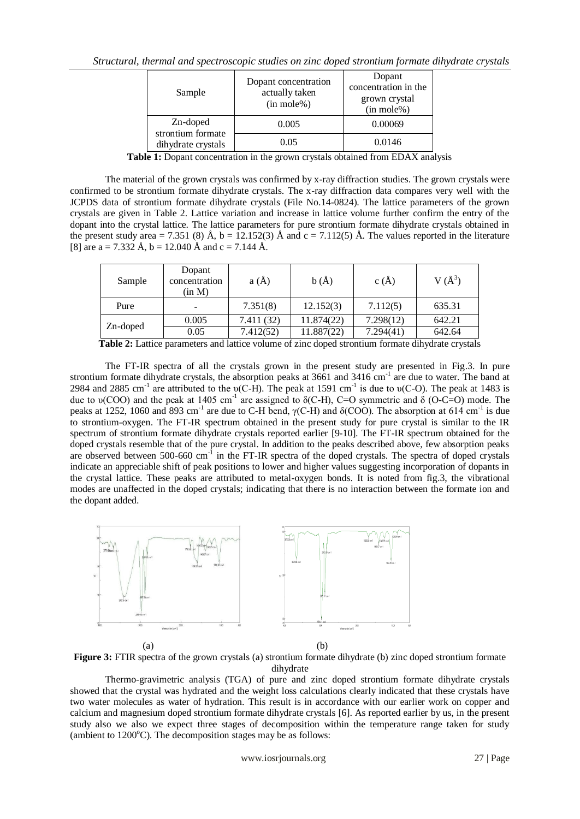| Sample                                              | Dopant concentration<br>actually taken<br>$(in \, mole\%)$ | Dopant<br>concentration in the<br>grown crystal<br>$(in mole\%)$ |
|-----------------------------------------------------|------------------------------------------------------------|------------------------------------------------------------------|
| Zn-doped<br>strontium formate<br>dihydrate crystals | 0.005                                                      | 0.00069                                                          |
|                                                     | 0.05                                                       | 0.0146                                                           |

**Table 1:** Dopant concentration in the grown crystals obtained from EDAX analysis

The material of the grown crystals was confirmed by x-ray diffraction studies. The grown crystals were confirmed to be strontium formate dihydrate crystals. The x-ray diffraction data compares very well with the JCPDS data of strontium formate dihydrate crystals (File No.14-0824). The lattice parameters of the grown crystals are given in Table 2. Lattice variation and increase in lattice volume further confirm the entry of the dopant into the crystal lattice. The lattice parameters for pure strontium formate dihydrate crystals obtained in the present study area = 7.351 (8)  $\AA$ , b = 12.152(3)  $\AA$  and c = 7.112(5)  $\AA$ . The values reported in the literature [8] are a = 7.332 Å, b = 12.040 Å and c = 7.144 Å.

| Sample   | Dopant<br>concentration<br>(in M) | a(A)       | b(A)       | c(A)      | $V(A^3)$ |
|----------|-----------------------------------|------------|------------|-----------|----------|
| Pure     | $\overline{\phantom{a}}$          | 7.351(8)   | 12.152(3)  | 7.112(5)  | 635.31   |
| Zn-doped | 0.005                             | 7.411 (32) | 11.874(22) | 7.298(12) | 642.21   |
|          | 0.05                              | 7.412(52)  | 11.887(22) | 7.294(41) | 642.64   |

**Table 2:** Lattice parameters and lattice volume of zinc doped strontium formate dihydrate crystals

The FT-IR spectra of all the crystals grown in the present study are presented in Fig.3. In pure strontium formate dihydrate crystals, the absorption peaks at 3661 and 3416 cm<sup>-1</sup> are due to water. The band at 2984 and 2885 cm<sup>-1</sup> are attributed to the υ(C-H). The peak at 1591 cm<sup>-1</sup> is due to υ(C-O). The peak at 1483 is due to  $\nu(COO)$  and the peak at 1405 cm<sup>-1</sup> are assigned to  $\delta(C-H)$ , C=O symmetric and  $\delta$  (O-C=O) mode. The peaks at 1252, 1060 and 893 cm<sup>-1</sup> are due to C-H bend,  $γ(C-H)$  and  $δ(COO)$ . The absorption at 614 cm<sup>-1</sup> is due to strontium-oxygen. The FT-IR spectrum obtained in the present study for pure crystal is similar to the IR spectrum of strontium formate dihydrate crystals reported earlier [9-10]. The FT-IR spectrum obtained for the doped crystals resemble that of the pure crystal. In addition to the peaks described above, few absorption peaks are observed between 500-660 cm<sup>-1</sup> in the FT-IR spectra of the doped crystals. The spectra of doped crystals indicate an appreciable shift of peak positions to lower and higher values suggesting incorporation of dopants in the crystal lattice. These peaks are attributed to metal-oxygen bonds. It is noted from fig.3, the vibrational modes are unaffected in the doped crystals; indicating that there is no interaction between the formate ion and the dopant added.



**Figure 3:** FTIR spectra of the grown crystals (a) strontium formate dihydrate (b) zinc doped strontium formate dihydrate

Thermo-gravimetric analysis (TGA) of pure and zinc doped strontium formate dihydrate crystals showed that the crystal was hydrated and the weight loss calculations clearly indicated that these crystals have two water molecules as water of hydration. This result is in accordance with our earlier work on copper and calcium and magnesium doped strontium formate dihydrate crystals [6]. As reported earlier by us, in the present study also we also we expect three stages of decomposition within the temperature range taken for study (ambient to  $1200^{\circ}$ C). The decomposition stages may be as follows: